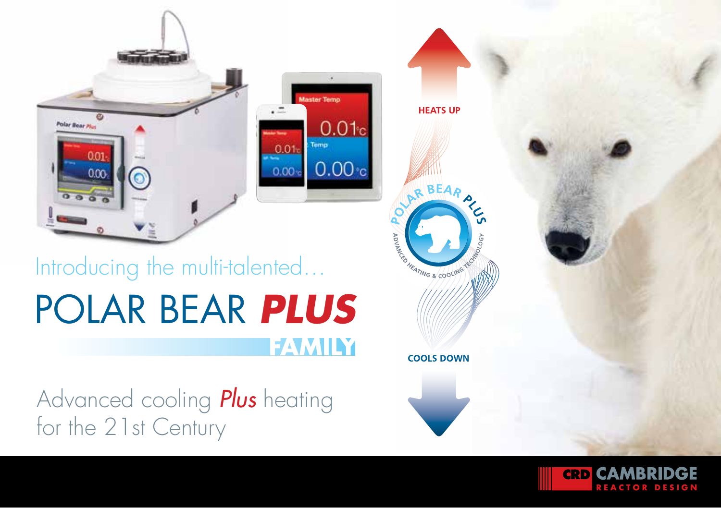

#### **Master Temp**  $0.01c$ Temp  $0.01<sub>1</sub>$  $0.00<sub>c</sub>$  $0.00$

# POLAR BEAR *PLUS* Introducing the multi-talented… **FAMILY**

Advanced cooling *Plus* heating for the 21st Century



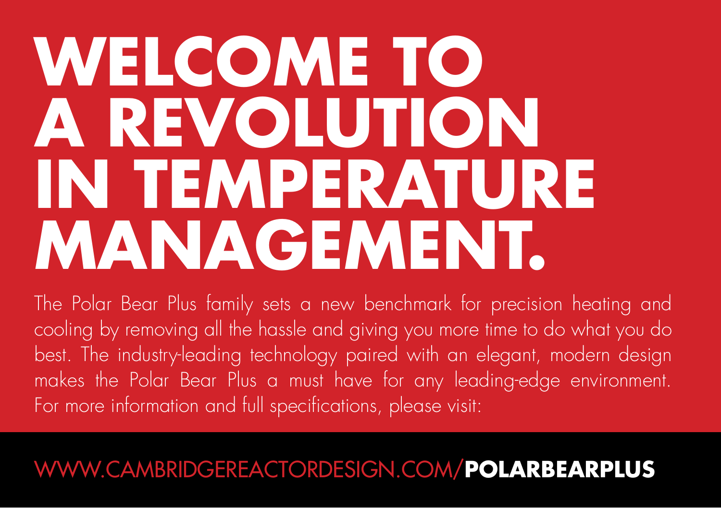# **WELCOME TO A REVOLUTION IN TEMPERATURE MANAGEMENT.**

The Polar Bear Plus family sets a new benchmark for precision heating and cooling by removing all the hassle and giving you more time to do what you do best. The industry-leading technology paired with an elegant, modern design makes the Polar Bear Plus a must have for any leading-edge environment. For more information and full specifications, please visit:

#### WWW.CAMBRIDGEREACTORDESIGN.COM/**POLARBEARPLUS**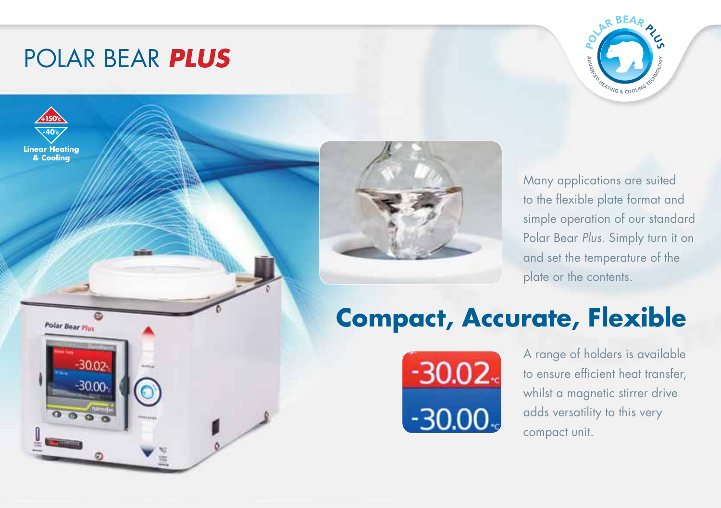## POLAR BEAR *PLUS*







Many applications are suited to the flexible plate format and simple operation of our standard Polar Bear *Plus*. Simply turn it on and set the temperature of the plate or the contents.

## **Compact, Accurate, Flexible**



A range of holders is available to ensure efficient heat transfer, whilst a magnetic stirrer drive adds versatility to this very compact unit.

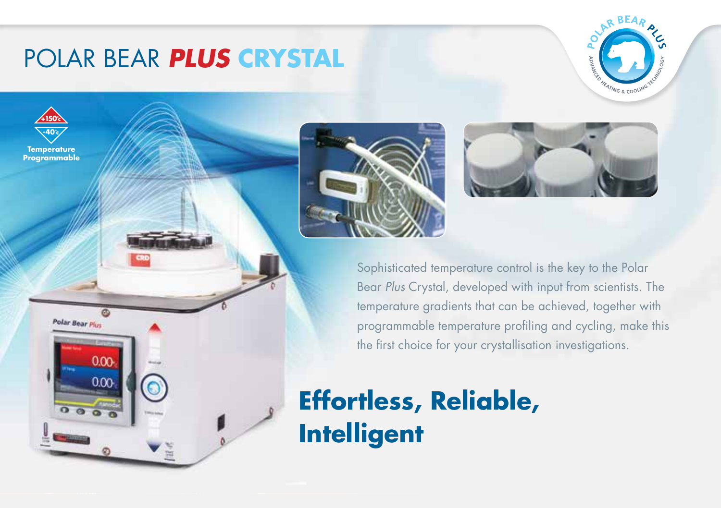## POLAR BEAR *PLUS* **CRYSTAL**





Polar Bear Plus

 $0<sup>o</sup>$  $0.00$ 





Sophisticated temperature control is the key to the Polar Bear *Plus* Crystal, developed with input from scientists. The temperature gradients that can be achieved, together with programmable temperature profiling and cycling, make this the first choice for your crystallisation investigations.

## **Effortless, Reliable, Intelligent**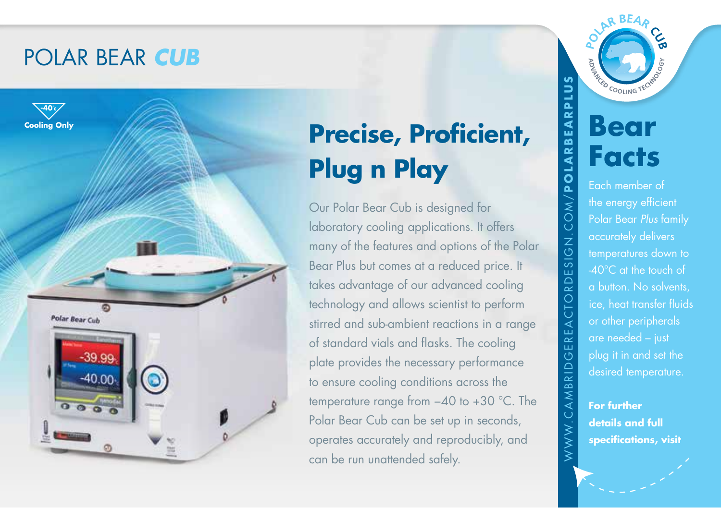#### POLAR BEAR *CUB*



# **Precise, Proficient, Plug n Play**

Our Polar Bear Cub is designed for laboratory cooling applications. It offers many of the features and options of the Polar Bear Plus but comes at a reduced price. It takes advantage of our advanced cooling technology and allows scientist to perform stirred and sub-ambient reactions in a range of standard vials and flasks. The cooling plate provides the necessary performance to ensure cooling conditions across the temperature range from −40 to +30 °C. The Polar Bear Cub can be set up in seconds, operates accurately and reproducibly, and can be run unattended safely.

**ACED COOLING T Bear Facts** Each member of Polar Bear *Plus* family accurately delivers temperatures down to -40°C at the touch of a button. No solvents, ice, heat transfer fluids or other peripherals are needed – just plug it in and set the desired temperature. **For further** 

WWW.CAMBRIDGEREACTORDESIGN.COM/**POLARBEARPLUS**

EACT

ER  $\overline{\odot}$ 

AMBRID

: WW.

 $\frac{1}{6}$ ESI  $\overline{\triangle}$ ORL

l/NO

POLARBEARPLU

**details and full specifications, visit**